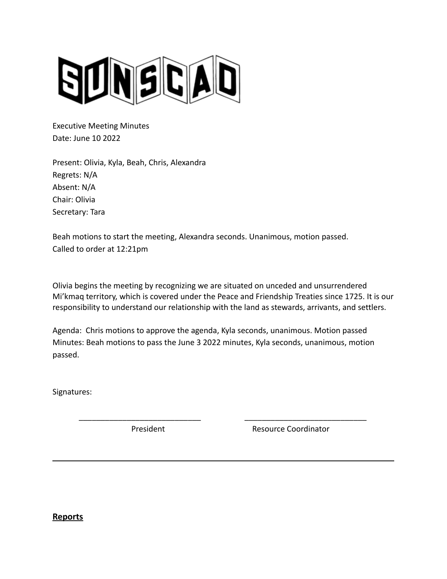

Executive Meeting Minutes Date: June 10 2022

Present: Olivia, Kyla, Beah, Chris, Alexandra Regrets: N/A Absent: N/A Chair: Olivia Secretary: Tara

Beah motions to start the meeting, Alexandra seconds. Unanimous, motion passed. Called to order at 12:21pm

Olivia begins the meeting by recognizing we are situated on unceded and unsurrendered Mi'kmaq territory, which is covered under the Peace and Friendship Treaties since 1725. It is our responsibility to understand our relationship with the land as stewards, arrivants, and settlers.

Agenda: Chris motions to approve the agenda, Kyla seconds, unanimous. Motion passed Minutes: Beah motions to pass the June 3 2022 minutes, Kyla seconds, unanimous, motion passed.

\_\_\_\_\_\_\_\_\_\_\_\_\_\_\_\_\_\_\_\_\_\_\_\_\_\_\_\_ \_\_\_\_\_\_\_\_\_\_\_\_\_\_\_\_\_\_\_\_\_\_\_\_\_\_\_\_

Signatures:

President **Resource Coordinator** 

**Reports**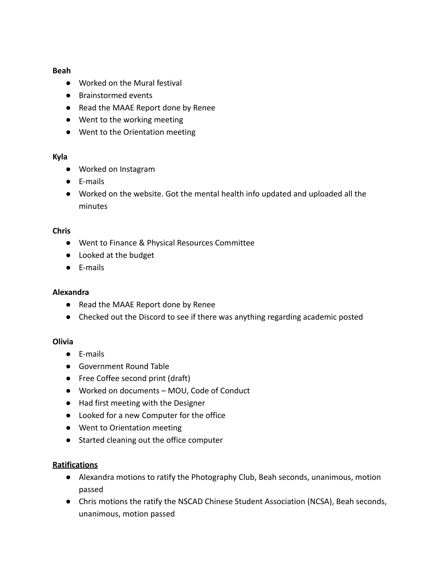### **Beah**

- Worked on the Mural festival
- Brainstormed events
- Read the MAAE Report done by Renee
- Went to the working meeting
- Went to the Orientation meeting

#### **Kyla**

- Worked on Instagram
- E-mails
- Worked on the website. Got the mental health info updated and uploaded all the minutes

#### **Chris**

- Went to Finance & Physical Resources Committee
- Looked at the budget
- E-mails

#### **Alexandra**

- Read the MAAE Report done by Renee
- Checked out the Discord to see if there was anything regarding academic posted

### **Olivia**

- E-mails
- Government Round Table
- Free Coffee second print (draft)
- Worked on documents MOU, Code of Conduct
- Had first meeting with the Designer
- Looked for a new Computer for the office
- Went to Orientation meeting
- Started cleaning out the office computer

### **Ratifications**

- Alexandra motions to ratify the Photography Club, Beah seconds, unanimous, motion passed
- Chris motions the ratify the NSCAD Chinese Student Association (NCSA), Beah seconds, unanimous, motion passed